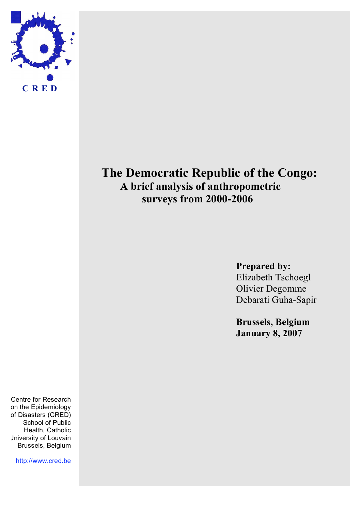

# **The Democratic Republic of the Congo: A brief analysis of anthropometric surveys from 2000-2006**

**Prepared by:** Elizabeth Tschoegl Olivier Degomme Debarati Guha-Sapir

**Brussels, Belgium January 8, 2007**

Centre for Research on the Epidemiology of Disasters (CRED) School of Public Health, Catholic University of Louvain Brussels, Belgium

http://www.cred.be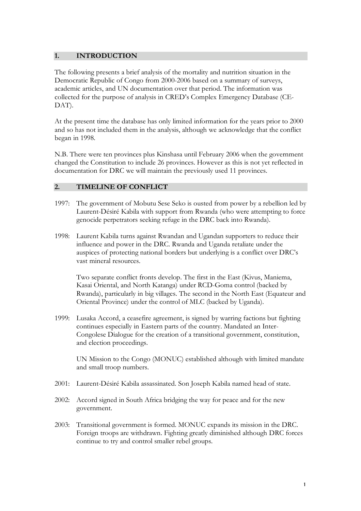#### **1. INTRODUCTION**

The following presents a brief analysis of the mortality and nutrition situation in the Democratic Republic of Congo from 2000-2006 based on a summary of surveys, academic articles, and UN documentation over that period. The information was collected for the purpose of analysis in CRED's Complex Emergency Database (CE-DAT).

At the present time the database has only limited information for the years prior to 2000 and so has not included them in the analysis, although we acknowledge that the conflict began in 1998.

N.B. There were ten provinces plus Kinshasa until February 2006 when the government changed the Constitution to include 26 provinces. However as this is not yet reflected in documentation for DRC we will maintain the previously used 11 provinces.

## **2. TIMELINE OF CONFLICT**

- 1997: The government of Mobutu Sese Seko is ousted from power by a rebellion led by Laurent-Désiré Kabila with support from Rwanda (who were attempting to force genocide perpetrators seeking refuge in the DRC back into Rwanda).
- 1998: Laurent Kabila turns against Rwandan and Ugandan supporters to reduce their influence and power in the DRC. Rwanda and Uganda retaliate under the auspices of protecting national borders but underlying is a conflict over DRC's vast mineral resources.

Two separate conflict fronts develop. The first in the East (Kivus, Maniema, Kasai Oriental, and North Katanga) under RCD-Goma control (backed by Rwanda), particularly in big villages. The second in the North East (Equateur and Oriental Province) under the control of MLC (backed by Uganda).

1999: Lusaka Accord, a ceasefire agreement, is signed by warring factions but fighting continues especially in Eastern parts of the country. Mandated an Inter-Congolese Dialogue for the creation of a transitional government, constitution, and election proceedings.

UN Mission to the Congo (MONUC) established although with limited mandate and small troop numbers.

- 2001: Laurent-Désiré Kabila assassinated. Son Joseph Kabila named head of state.
- 2002: Accord signed in South Africa bridging the way for peace and for the new government.
- 2003: Transitional government is formed. MONUC expands its mission in the DRC. Foreign troops are withdrawn. Fighting greatly diminished although DRC forces continue to try and control smaller rebel groups.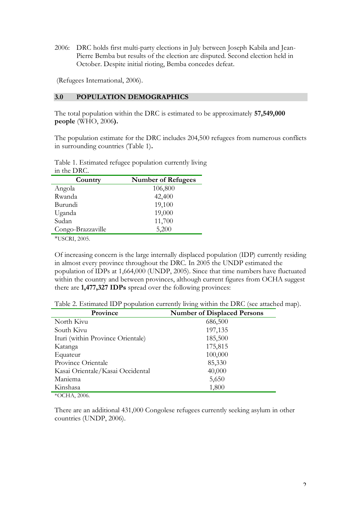2006: DRC holds first multi-party elections in July between Joseph Kabila and Jean-Pierre Bemba but results of the election are disputed. Second election held in October. Despite initial rioting, Bemba concedes defeat.

(Refugees International, 2006).

#### **3.0 POPULATION DEMOGRAPHICS**

The total population within the DRC is estimated to be approximately **57,549,000 people** (WHO, 2006**).** 

The population estimate for the DRC includes 204,500 refugees from numerous conflicts in surrounding countries (Table 1)**.**

Table 1. Estimated refugee population currently living in the DRC.

| Country           | <b>Number of Refugees</b> |
|-------------------|---------------------------|
| Angola            | 106,800                   |
| Rwanda            | 42,400                    |
| Burundi           | 19,100                    |
| Uganda            | 19,000                    |
| Sudan             | 11,700                    |
| Congo-Brazzaville | 5,200                     |

\*USCRI, 2005.

Of increasing concern is the large internally displaced population (IDP) currently residing in almost every province throughout the DRC. In 2005 the UNDP estimated the population of IDPs at 1,664,000 (UNDP, 2005). Since that time numbers have fluctuated within the country and between provinces, although current figures from OCHA suggest there are **1,477,327 IDPs** spread over the following provinces:

Table 2. Estimated IDP population currently living within the DRC (see attached map).

| <b>Number of Displaced Persons</b> |
|------------------------------------|
| 686,500                            |
| 197,135                            |
| 185,500                            |
| 175,815                            |
| 100,000                            |
| 85,330                             |
| 40,000                             |
| 5,650                              |
| 1,800                              |
|                                    |

\*OCHA, 2006.

There are an additional 431,000 Congolese refugees currently seeking asylum in other countries (UNDP, 2006).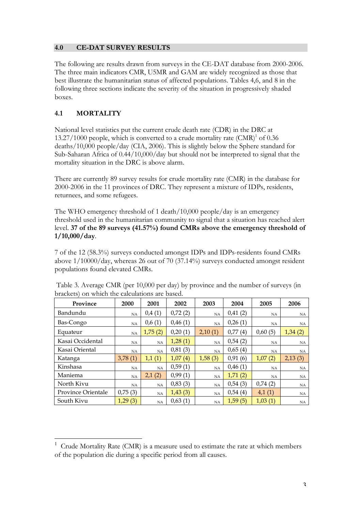## **4.0 CE-DAT SURVEY RESULTS**

The following are results drawn from surveys in the CE-DAT database from 2000-2006. The three main indicators CMR, U5MR and GAM are widely recognized as those that best illustrate the humanitarian status of affected populations. Tables 4,6, and 8 in the following three sections indicate the severity of the situation in progressively shaded boxes.

## **4.1 MORTALITY**

National level statistics put the current crude death rate (CDR) in the DRC at 13.27/1000 people, which is converted to a crude mortality rate  $(CMR)^1$  of 0.36 deaths/10,000 people/day (CIA, 2006). This is slightly below the Sphere standard for Sub-Saharan Africa of 0.44/10,000/day but should not be interpreted to signal that the mortality situation in the DRC is above alarm.

There are currently 89 survey results for crude mortality rate (CMR) in the database for 2000-2006 in the 11 provinces of DRC. They represent a mixture of IDPs, residents, returnees, and some refugees.

The WHO emergency threshold of 1 death/10,000 people/day is an emergency threshold used in the humanitarian community to signal that a situation has reached alert level. **37 of the 89 surveys (41.57%) found CMRs above the emergency threshold of 1/10,000/day**.

7 of the 12 (58.3%) surveys conducted amongst IDPs and IDPs-residents found CMRs above 1/10000/day, whereas 26 out of 70 (37.14%) surveys conducted amongst resident populations found elevated CMRs.

| Province           | 2000    | 2001      | 2002    | 2003        | 2004        | 2005        | 2006      |
|--------------------|---------|-----------|---------|-------------|-------------|-------------|-----------|
| Bandundu           | NA      | 0,4(1)    | 0,72(2) | <b>NA</b>   | 0,41(2)     | NA.         | <b>NA</b> |
| Bas-Congo          | NA      | 0,6(1)    | 0,46(1) | <b>NA</b>   | 0,26(1)     | <b>NA</b>   | NA        |
| Equateur           | NA      | 1,75(2)   | 0,20(1) | 2,10<br>(1) | 0,77<br>(4) | 0,60(5)     | 1,34(2)   |
| Kasai Occidental   | NA.     | <b>NA</b> | 1,28(1) | <b>NA</b>   | 0,54(2)     | NA.         | <b>NA</b> |
| Kasai Oriental     | NA      | <b>NA</b> | 0,81(3) | NA          | 0.65(4)     | NA.         | NA        |
| Katanga            | 3,78(1) | 1,1(1)    | 1,07(4) | 1,58(3)     | 0.91(6)     | (2)<br>1,07 | 2,13(3)   |
| Kinshasa           | NA      | NA        | 0,59(1) | NA          | 0.46(1)     | NA.         | <b>NA</b> |
| Maniema            | NA      | 2,1(2)    | 0,99(1) | NA          | 1,71(2)     | NA.         | <b>NA</b> |
| North Kivu         | NA      | NA        | 0,83(3) | NA          | 0.54(3)     | 0,74(2)     | NA        |
| Province Orientale | 0,75(3) | <b>NA</b> | 1,43(3) | <b>NA</b>   | 0,54(4)     | 4,1(1)      | <b>NA</b> |
| South Kivu         | 1,29(3) | <b>NA</b> | 0,63(1) | <b>NA</b>   | 1,59(5)     | 1,03(1)     | NA.       |

Table 3. Average CMR (per 10,000 per day) by province and the number of surveys (in brackets) on which the calculations are based.

 $1$  Crude Mortality Rate (CMR) is a measure used to estimate the rate at which members of the population die during a specific period from all causes.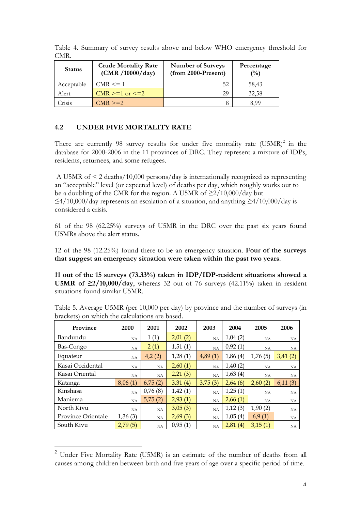Table 4. Summary of survey results above and below WHO emergency threshold for CMR.

| <b>Status</b> | <b>Crude Mortality Rate</b><br>(CMR / 10000 / day) | <b>Number of Surveys</b><br>$(from 2000-Present)$ | Percentage<br>$\binom{0}{0}$ |
|---------------|----------------------------------------------------|---------------------------------------------------|------------------------------|
| Acceptable    | $CMR \leq 1$                                       | 52                                                | 58,43                        |
| Alert         | CMR $>= 1$ or $\le = 2$                            | 29                                                | 32,58                        |
| Crisis        | $CMR \geq 2$                                       |                                                   | 8.99                         |

## **4.2 UNDER FIVE MORTALITY RATE**

There are currently 98 survey results for under five mortality rate  $(U5MR)^2$  in the database for 2000-2006 in the 11 provinces of DRC. They represent a mixture of IDPs, residents, returnees, and some refugees.

A U5MR of < 2 deaths/10,000 persons/day is internationally recognized as representing an "acceptable" level (or expected level) of deaths per day, which roughly works out to be a doubling of the CMR for the region. A U5MR of  $\geq$ 2/10,000/day but  $\leq$ 4/10,000/day represents an escalation of a situation, and anything  $\geq$ 4/10,000/day is considered a crisis.

61 of the 98 (62.25%) surveys of U5MR in the DRC over the past six years found U5MRs above the alert status.

12 of the 98 (12.25%) found there to be an emergency situation. **Four of the surveys that suggest an emergency situation were taken within the past two years**.

**11 out of the 15 surveys (73.33%) taken in IDP/IDP-resident situations showed a U5MR** of  $\geq 2/10,000/day$ , whereas 32 out of 76 surveys (42.11%) taken in resident situations found similar U5MR.

| Province           | 2000      | 2001      | 2002    | 2003      | 2004    | 2005      | 2006      |
|--------------------|-----------|-----------|---------|-----------|---------|-----------|-----------|
| Bandundu           | NA        | 1(1)      | 2,01(2) | NA        | 1,04(2) | <b>NA</b> | <b>NA</b> |
| Bas-Congo          | NA        | 2(1)      | 1,51(1) | NA        | 0,92(1) | <b>NA</b> | NA        |
| Equateur           | NA        | 4,2(2)    | 1,28(1) | 4,89(1)   | 1,86(4) | 1,76(5)   | 3,41(2)   |
| Kasai Occidental   | NA        | <b>NA</b> | 2,60(1) | NA        | 1,40(2) | <b>NA</b> | <b>NA</b> |
| Kasai Oriental     | NA        | NA        | 2,21(3) | NA        | 1,63(4) | NA        | NA        |
| Katanga            | 8,06(1)   | 6,75(2)   | 3,31(4) | 3,75(3)   | 2,64(6) | 2,60(2)   | 6,11(3)   |
| Kinshasa           | NA        | 0,76(8)   | 1,42(1) | NA        | 1,25(1) | <b>NA</b> | <b>NA</b> |
| Maniema            | NA        | 5,75(2)   | 2,93(1) | <b>NA</b> | 2,66(1) | NA        | <b>NA</b> |
| North Kivu         | <b>NA</b> | <b>NA</b> | 3,05(3) | NA        | 1,12(3) | 1,90(2)   | NA.       |
| Province Orientale | 1,36(3)   | NA        | 2,69(3) | NA        | 1,05(4) | 6,9(1)    | NA        |
| South Kivu         | 2,79(5)   | NA        | 0,95(1) | NA        | 2,81(4) | 3,15(1)   | NA        |

Table 5. Average U5MR (per 10,000 per day) by province and the number of surveys (in brackets) on which the calculations are based.

 <sup>2</sup> Under Five Mortality Rate (U5MR) is an estimate of the number of deaths from all causes among children between birth and five years of age over a specific period of time.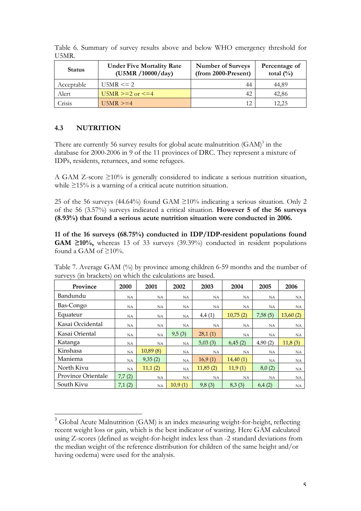| <b>Status</b> | <b>Under Five Mortality Rate</b><br>(U5MR / 10000 / day) | <b>Number of Surveys</b><br>$(from 2000-Present)$ | Percentage of<br>total $\left(\frac{0}{0}\right)$ |
|---------------|----------------------------------------------------------|---------------------------------------------------|---------------------------------------------------|
| Acceptable    | $U5MR \le 2$                                             | 44                                                | 44.89                                             |
| Alert         | U5MR $>= 2$ or $\le = 4$                                 | 42                                                | 42,86                                             |
| Crisis        | $U5MR \geq 4$                                            | 12                                                | 12,25                                             |

Table 6. Summary of survey results above and below WHO emergency threshold for U5MR.

## **4.3 NUTRITION**

There are currently 56 survey results for global acute malnutrition  $(GAM)^3$  in the database for 2000-2006 in 9 of the 11 provinces of DRC. They represent a mixture of IDPs, residents, returnees, and some refugees.

A GAM Z-score ≥10% is generally considered to indicate a serious nutrition situation, while ≥15% is a warning of a critical acute nutrition situation.

25 of the 56 surveys (44.64%) found GAM  $\geq$ 10% indicating a serious situation. Only 2 of the 56 (3.57%) surveys indicated a critical situation. **However 5 of the 56 surveys (8.93%) that found a serious acute nutrition situation were conducted in 2006.**

**11 of the 16 surveys (68.75%) conducted in IDP/IDP-resident populations found GAM ≥10%,** whereas 13 of 33 surveys (39.39%) conducted in resident populations found a GAM of  $\geq 10\%$ .

| Table 7. Average GAM (%) by province among children 6-59 months and the number of |  |  |  |  |
|-----------------------------------------------------------------------------------|--|--|--|--|
| surveys (in brackets) on which the calculations are based.                        |  |  |  |  |

| Province                  | 2000      | 2001      | 2002      | 2003      | 2004      | 2005      | 2006      |
|---------------------------|-----------|-----------|-----------|-----------|-----------|-----------|-----------|
| Bandundu                  | NA.       | NA        | <b>NA</b> | NA        | <b>NA</b> | <b>NA</b> | <b>NA</b> |
| Bas-Congo                 | NA        | <b>NA</b> | NA        | <b>NA</b> | NA        | <b>NA</b> | NA        |
| Equateur                  | NA        | NA.       | NA        | 4,4(1)    | 10,75(2)  | 7,58(5)   | 13,60(2)  |
| Kasai Occidental          | NA.       | NA.       | NA        | <b>NA</b> | NA        | <b>NA</b> | <b>NA</b> |
| Kasai Oriental            | <b>NA</b> | <b>NA</b> | 9,5(3)    | 28,1(1)   | NA        | <b>NA</b> | <b>NA</b> |
| Katanga                   | <b>NA</b> | NA        | NA        | 5,03(3)   | 6,45(2)   | 4,90(2)   | 11,8(3)   |
| Kinshasa                  | NA        | 10,89(8)  | NA        | <b>NA</b> | <b>NA</b> | <b>NA</b> | <b>NA</b> |
| Maniema                   | <b>NA</b> | 9,35(2)   | <b>NA</b> | 16.9(1)   | 14,40(1)  | <b>NA</b> | NA        |
| North Kivu                | <b>NA</b> | 11,1(2)   | <b>NA</b> | 11,85(2)  | 11,9(1)   | 8,0(2)    | NA        |
| <b>Province Orientale</b> | 7,7(2)    | NA        | NA        | NA        | <b>NA</b> | <b>NA</b> | NA        |
| South Kivu                | 7,1(2)    | NA        | 10.9(1)   | 9,8(3)    | 8,3(3)    | 6,4(2)    | NA        |

<sup>&</sup>lt;sup>3</sup> Global Acute Malnutrition (GAM) is an index measuring weight-for-height, reflecting recent weight loss or gain, which is the best indicator of wasting. Here GAM calculated using Z-scores (defined as weight-for-height index less than -2 standard deviations from the median weight of the reference distribution for children of the same height and/or having oedema) were used for the analysis.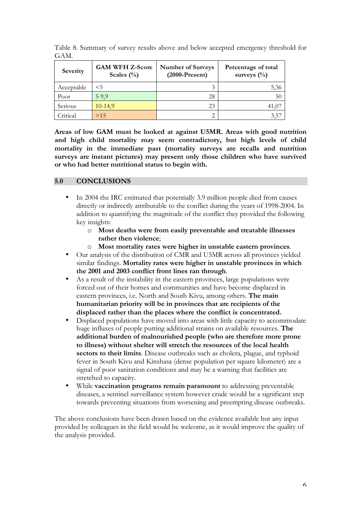| Severity   | <b>GAM WFH Z-Score</b><br>Scales $(\% )$ | <b>Number of Surveys</b><br>$(2000-Present)$ | Percentage of total<br>surveys $(\%)$ |
|------------|------------------------------------------|----------------------------------------------|---------------------------------------|
| Acceptable | $<$ 5                                    |                                              | 5,36                                  |
| Poor       | $5-9,9$                                  | 28                                           | 50                                    |
| Serious    | $10-14,9$                                | 23                                           | 41,07                                 |
| Critical   | >15                                      |                                              | 3,5                                   |

Table 8. Summary of survey results above and below accepted emergency threshold for GAM.

**Areas of low GAM must be looked at against U5MR. Areas with good nutrition and high child mortality may seem contradictory, but high levels of child mortality in the immediate past (mortality surveys are recalls and nutrition surveys are instant pictures) may present only those children who have survived or who had better nutritional status to begin with.**

## **5.0 CONCLUSIONS**

- In 2004 the IRC estimated that potentially 3.9 million people died from causes directly or indirectly attributable to the conflict during the years of 1998-2004. In addition to quantifying the magnitude of the conflict they provided the following key insights:
	- o **Most deaths were from easily preventable and treatable illnesses rather then violence**;
	- o **Most mortality rates were higher in unstable eastern provinces**.
- Our analysis of the distribution of CMR and U5MR across all provinces yielded similar findings. **Mortality rates were higher in unstable provinces in which the 2001 and 2003 conflict front lines ran through**.
- As a result of the instability in the eastern provinces, large populations were forced out of their homes and communities and have become displaced in eastern provinces, i.e. North and South Kivu, among others. **The main humanitarian priority will be in provinces that are recipients of the displaced rather than the places where the conflict is concentrated.**
- Displaced populations have moved into areas with little capacity to accommodate huge influxes of people putting additional strains on available resources. **The additional burden of malnourished people (who are therefore more prone to illness) without shelter will stretch the resources of the local health sectors to their limits**. Disease outbreaks such as cholera, plague, and typhoid fever in South Kivu and Kinshasa (dense population per square kilometer) are a signal of poor sanitation conditions and may be a warning that facilities are stretched to capacity.
- While **vaccination programs remain paramount** to addressing preventable diseases, a sentinel surveillance system however crude would be a significant step towards preventing situations from worsening and preempting disease outbreaks.

The above conclusions have been drawn based on the evidence available but any input provided by colleagues in the field would be welcome, as it would improve the quality of the analysis provided.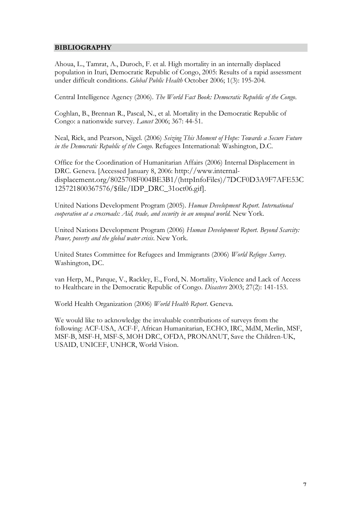## **BIBLIOGRAPHY**

Ahoua, L., Tamrat, A., Duroch, F. et al. High mortality in an internally displaced population in Ituri, Democratic Republic of Congo, 2005: Results of a rapid assessment under difficult conditions. *Global Public Health* October 2006; 1(3): 195-204.

Central Intelligence Agency (2006). *The World Fact Book: Democratic Republic of the Congo*.

Coghlan, B., Brennan R., Pascal, N., et al. Mortality in the Democratic Republic of Congo: a nationwide survey. *Lancet* 2006; 367: 44-51.

Neal, Rick, and Pearson, Nigel. (2006) *Seizing This Moment of Hope: Towards a Secure Future in the Democratic Republic of the Congo*. Refugees International: Washington, D.C.

Office for the Coordination of Humanitarian Affairs (2006) Internal Displacement in DRC. Geneva. [Accessed January 8, 2006: http://www.internaldisplacement.org/8025708F004BE3B1/(httpInfoFiles)/7DCF0D3A9F7AFE53C 125721800367576/\$file/IDP\_DRC\_31oct06.gif].

United Nations Development Program (2005). *Human Development Report. International cooperation at a crossroads: Aid, trade, and security in an unequal world.* New York.

United Nations Development Program (2006) *Human Development Report. Beyond Scarcity: Power, poverty and the global water crisis*. New York.

United States Committee for Refugees and Immigrants (2006) *World Refugee Survey*. Washington, DC.

van Herp, M., Parque, V., Rackley, E., Ford, N. Mortality, Violence and Lack of Access to Healthcare in the Democratic Republic of Congo. *Disasters* 2003; 27(2): 141-153.

World Health Organization (2006) *World Health Report*. Geneva.

We would like to acknowledge the invaluable contributions of surveys from the following: ACF-USA, ACF-F, African Humanitarian, ECHO, IRC, MdM, Merlin, MSF, MSF-B, MSF-H, MSF-S, MOH DRC, OFDA, PRONANUT, Save the Children-UK, USAID, UNICEF, UNHCR, World Vision.